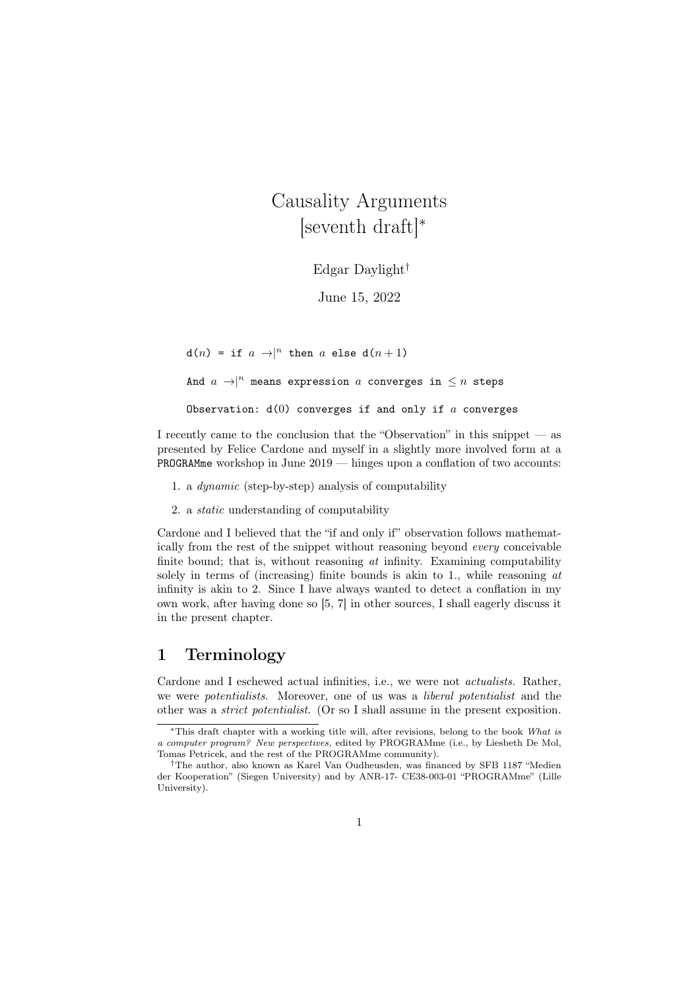Causality Arguments [seventh draft]<sup>∗</sup>

Edgar Daylight†

June 15, 2022

 $d(n) = if a \rightarrow |n$  then a else  $d(n+1)$ And  $a \rightarrow |n|$  means expression a converges in  $\leq n$  steps Observation:  $d(0)$  converges if and only if  $a$  converges

I recently came to the conclusion that the "Observation" in this snippet — as presented by Felice Cardone and myself in a slightly more involved form at a PROGRAMme workshop in June 2019 — hinges upon a conflation of two accounts:

- 1. a dynamic (step-by-step) analysis of computability
- 2. a static understanding of computability

Cardone and I believed that the "if and only if" observation follows mathematically from the rest of the snippet without reasoning beyond every conceivable finite bound; that is, without reasoning  $at$  infinity. Examining computability solely in terms of (increasing) finite bounds is akin to 1., while reasoning  $at$ infinity is akin to 2. Since I have always wanted to detect a conflation in my own work, after having done so [5, 7] in other sources, I shall eagerly discuss it in the present chapter.

#### 1 Terminology

Cardone and I eschewed actual infinities, i.e., we were not actualists. Rather, we were *potentialists*. Moreover, one of us was a *liberal potentialist* and the other was a strict potentialist. (Or so I shall assume in the present exposition.

<sup>∗</sup>This draft chapter with a working title will, after revisions, belong to the book What is a computer program? New perspectives, edited by PROGRAMme (i.e., by Liesbeth De Mol, Tomas Petricek, and the rest of the PROGRAMme community).

<sup>†</sup>The author, also known as Karel Van Oudheusden, was financed by SFB 1187 "Medien der Kooperation" (Siegen University) and by ANR-17- CE38-003-01 "PROGRAMme" (Lille University).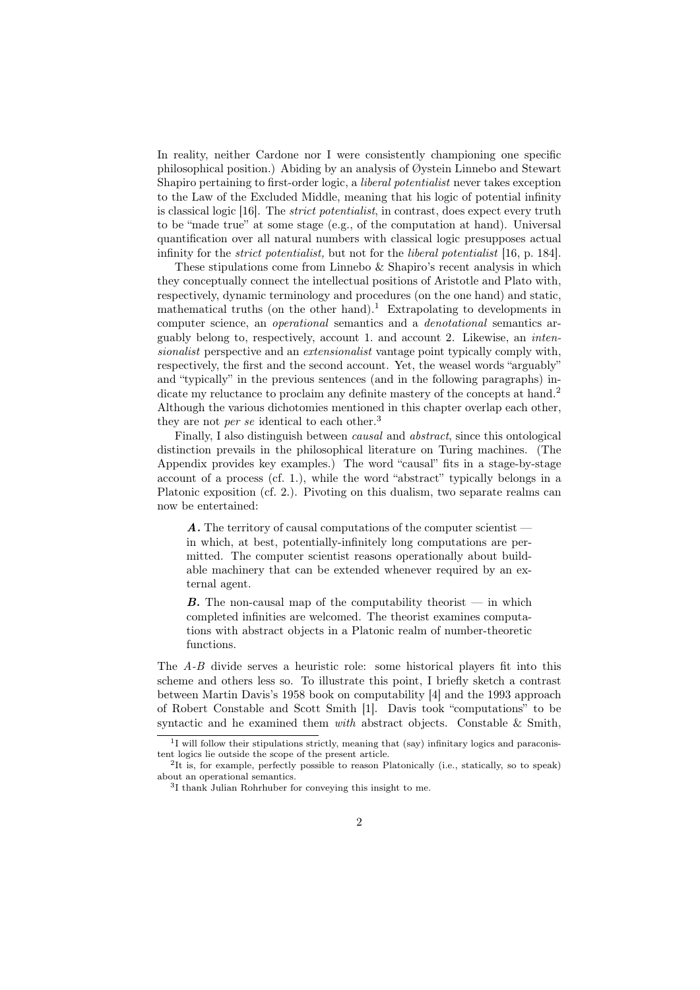In reality, neither Cardone nor I were consistently championing one specific philosophical position.) Abiding by an analysis of Øystein Linnebo and Stewart Shapiro pertaining to first-order logic, a liberal potentialist never takes exception to the Law of the Excluded Middle, meaning that his logic of potential infinity is classical logic [16]. The strict potentialist, in contrast, does expect every truth to be "made true" at some stage (e.g., of the computation at hand). Universal quantification over all natural numbers with classical logic presupposes actual infinity for the strict potentialist, but not for the liberal potentialist [16, p. 184].

These stipulations come from Linnebo & Shapiro's recent analysis in which they conceptually connect the intellectual positions of Aristotle and Plato with, respectively, dynamic terminology and procedures (on the one hand) and static, mathematical truths (on the other hand).<sup>1</sup> Extrapolating to developments in computer science, an *operational* semantics and a *denotational* semantics arguably belong to, respectively, account 1. and account 2. Likewise, an intensionalist perspective and an extensionalist vantage point typically comply with, respectively, the first and the second account. Yet, the weasel words "arguably" and "typically" in the previous sentences (and in the following paragraphs) indicate my reluctance to proclaim any definite mastery of the concepts at hand.<sup>2</sup> Although the various dichotomies mentioned in this chapter overlap each other, they are not *per se* identical to each other.<sup>3</sup>

Finally, I also distinguish between causal and abstract, since this ontological distinction prevails in the philosophical literature on Turing machines. (The Appendix provides key examples.) The word "causal" fits in a stage-by-stage account of a process (cf. 1.), while the word "abstract" typically belongs in a Platonic exposition (cf. 2.). Pivoting on this dualism, two separate realms can now be entertained:

A. The territory of causal computations of the computer scientist in which, at best, potentially-infinitely long computations are permitted. The computer scientist reasons operationally about buildable machinery that can be extended whenever required by an external agent.

**B.** The non-causal map of the computability theorist  $-$  in which completed infinities are welcomed. The theorist examines computations with abstract objects in a Platonic realm of number-theoretic functions.

The A-B divide serves a heuristic role: some historical players fit into this scheme and others less so. To illustrate this point, I briefly sketch a contrast between Martin Davis's 1958 book on computability [4] and the 1993 approach of Robert Constable and Scott Smith [1]. Davis took "computations" to be syntactic and he examined them with abstract objects. Constable & Smith,

<sup>&</sup>lt;sup>1</sup>I will follow their stipulations strictly, meaning that (say) infinitary logics and paraconistent logics lie outside the scope of the present article.

<sup>2</sup> It is, for example, perfectly possible to reason Platonically (i.e., statically, so to speak) about an operational semantics.

<sup>3</sup> I thank Julian Rohrhuber for conveying this insight to me.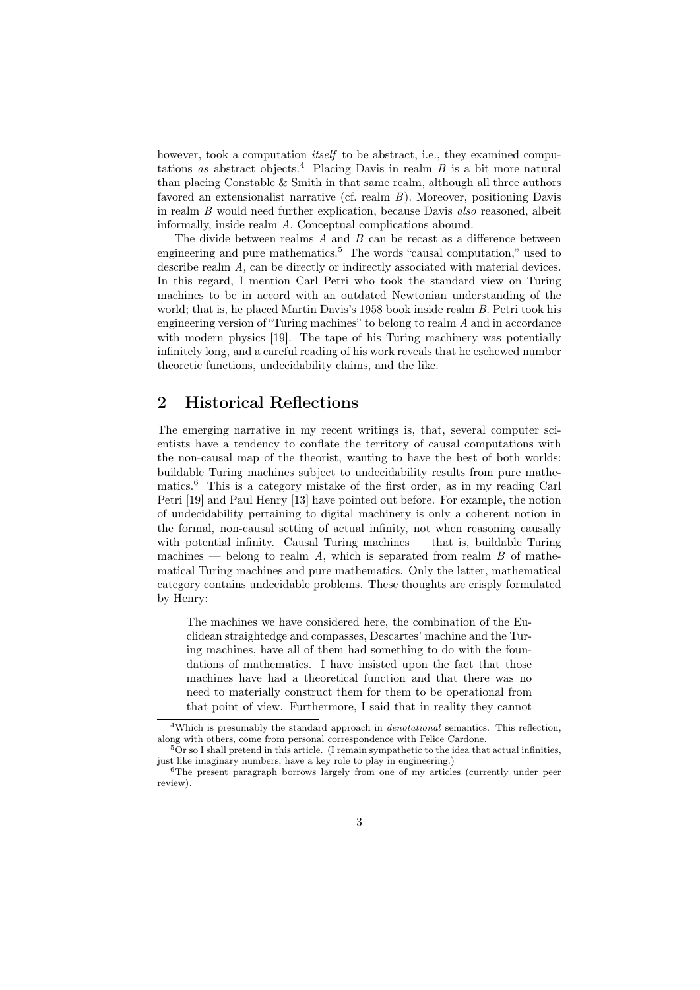however, took a computation *itself* to be abstract, i.e., they examined computations as abstract objects.<sup>4</sup> Placing Davis in realm  $B$  is a bit more natural than placing Constable & Smith in that same realm, although all three authors favored an extensionalist narrative (cf. realm B). Moreover, positioning Davis in realm B would need further explication, because Davis also reasoned, albeit informally, inside realm A. Conceptual complications abound.

The divide between realms  $A$  and  $B$  can be recast as a difference between engineering and pure mathematics.<sup>5</sup> The words "causal computation," used to describe realm A, can be directly or indirectly associated with material devices. In this regard, I mention Carl Petri who took the standard view on Turing machines to be in accord with an outdated Newtonian understanding of the world; that is, he placed Martin Davis's 1958 book inside realm B. Petri took his engineering version of "Turing machines" to belong to realm A and in accordance with modern physics [19]. The tape of his Turing machinery was potentially infinitely long, and a careful reading of his work reveals that he eschewed number theoretic functions, undecidability claims, and the like.

## 2 Historical Reflections

The emerging narrative in my recent writings is, that, several computer scientists have a tendency to conflate the territory of causal computations with the non-causal map of the theorist, wanting to have the best of both worlds: buildable Turing machines subject to undecidability results from pure mathematics.<sup>6</sup> This is a category mistake of the first order, as in my reading Carl Petri [19] and Paul Henry [13] have pointed out before. For example, the notion of undecidability pertaining to digital machinery is only a coherent notion in the formal, non-causal setting of actual infinity, not when reasoning causally with potential infinity. Causal Turing machines — that is, buildable Turing machines — belong to realm  $A$ , which is separated from realm  $B$  of mathematical Turing machines and pure mathematics. Only the latter, mathematical category contains undecidable problems. These thoughts are crisply formulated by Henry:

The machines we have considered here, the combination of the Euclidean straightedge and compasses, Descartes' machine and the Turing machines, have all of them had something to do with the foundations of mathematics. I have insisted upon the fact that those machines have had a theoretical function and that there was no need to materially construct them for them to be operational from that point of view. Furthermore, I said that in reality they cannot

<sup>4</sup>Which is presumably the standard approach in denotational semantics. This reflection, along with others, come from personal correspondence with Felice Cardone.

 $5\text{Or so I shall pretend in this article.}$  (I remain sympathetic to the idea that actual infinities just like imaginary numbers, have a key role to play in engineering.)

<sup>6</sup>The present paragraph borrows largely from one of my articles (currently under peer review).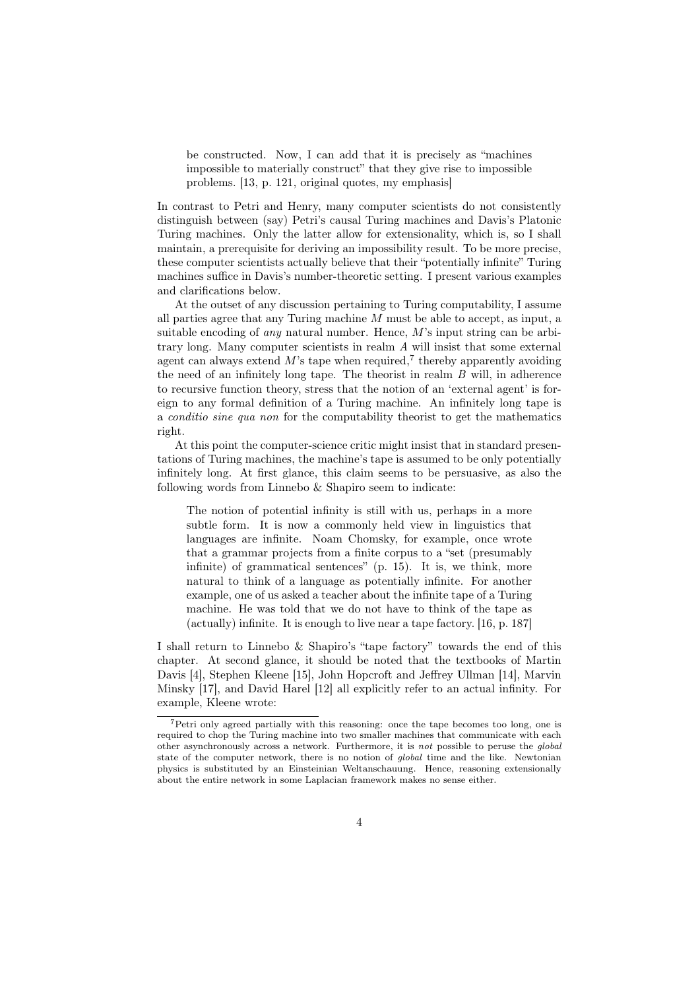be constructed. Now, I can add that it is precisely as "machines impossible to materially construct" that they give rise to impossible problems. [13, p. 121, original quotes, my emphasis]

In contrast to Petri and Henry, many computer scientists do not consistently distinguish between (say) Petri's causal Turing machines and Davis's Platonic Turing machines. Only the latter allow for extensionality, which is, so I shall maintain, a prerequisite for deriving an impossibility result. To be more precise, these computer scientists actually believe that their "potentially infinite" Turing machines suffice in Davis's number-theoretic setting. I present various examples and clarifications below.

At the outset of any discussion pertaining to Turing computability, I assume all parties agree that any Turing machine  $M$  must be able to accept, as input, a suitable encoding of *any* natural number. Hence,  $M$ 's input string can be arbitrary long. Many computer scientists in realm A will insist that some external agent can always extend  $M$ 's tape when required,<sup>7</sup> thereby apparently avoiding the need of an infinitely long tape. The theorist in realm B will, in adherence to recursive function theory, stress that the notion of an 'external agent' is foreign to any formal definition of a Turing machine. An infinitely long tape is a conditio sine qua non for the computability theorist to get the mathematics right.

At this point the computer-science critic might insist that in standard presentations of Turing machines, the machine's tape is assumed to be only potentially infinitely long. At first glance, this claim seems to be persuasive, as also the following words from Linnebo & Shapiro seem to indicate:

The notion of potential infinity is still with us, perhaps in a more subtle form. It is now a commonly held view in linguistics that languages are infinite. Noam Chomsky, for example, once wrote that a grammar projects from a finite corpus to a "set (presumably infinite) of grammatical sentences" (p. 15). It is, we think, more natural to think of a language as potentially infinite. For another example, one of us asked a teacher about the infinite tape of a Turing machine. He was told that we do not have to think of the tape as (actually) infinite. It is enough to live near a tape factory. [16, p. 187]

I shall return to Linnebo & Shapiro's "tape factory" towards the end of this chapter. At second glance, it should be noted that the textbooks of Martin Davis [4], Stephen Kleene [15], John Hopcroft and Jeffrey Ullman [14], Marvin Minsky [17], and David Harel [12] all explicitly refer to an actual infinity. For example, Kleene wrote:

<sup>7</sup>Petri only agreed partially with this reasoning: once the tape becomes too long, one is required to chop the Turing machine into two smaller machines that communicate with each other asynchronously across a network. Furthermore, it is not possible to peruse the global state of the computer network, there is no notion of global time and the like. Newtonian physics is substituted by an Einsteinian Weltanschauung. Hence, reasoning extensionally about the entire network in some Laplacian framework makes no sense either.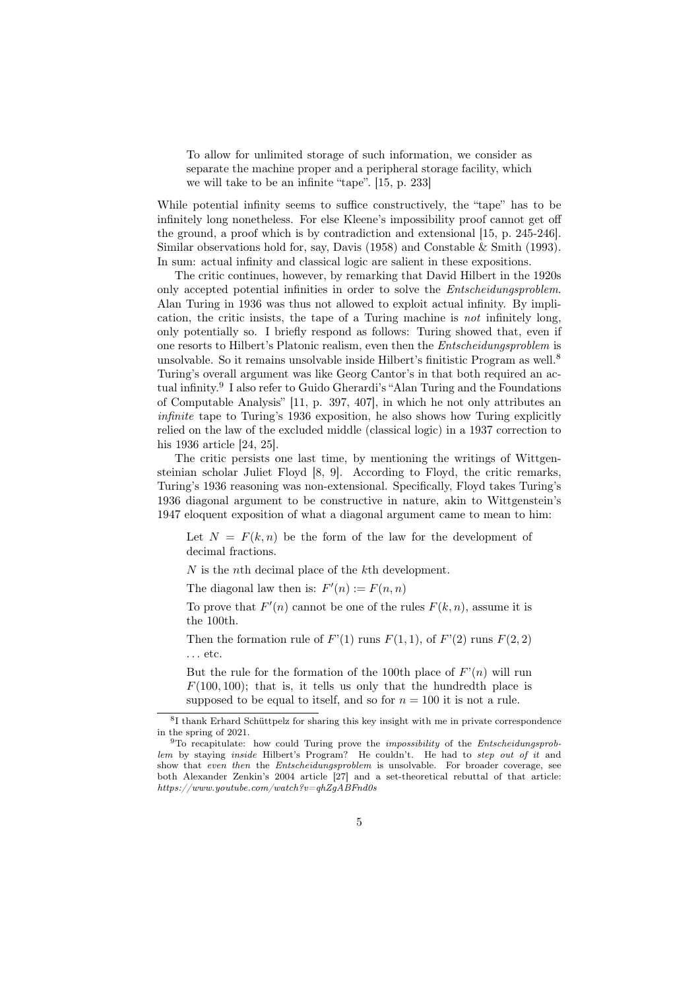To allow for unlimited storage of such information, we consider as separate the machine proper and a peripheral storage facility, which we will take to be an infinite "tape". [15, p. 233]

While potential infinity seems to suffice constructively, the "tape" has to be infinitely long nonetheless. For else Kleene's impossibility proof cannot get off the ground, a proof which is by contradiction and extensional [15, p. 245-246]. Similar observations hold for, say, Davis (1958) and Constable & Smith (1993). In sum: actual infinity and classical logic are salient in these expositions.

The critic continues, however, by remarking that David Hilbert in the 1920s only accepted potential infinities in order to solve the Entscheidungsproblem. Alan Turing in 1936 was thus not allowed to exploit actual infinity. By implication, the critic insists, the tape of a Turing machine is not infinitely long, only potentially so. I briefly respond as follows: Turing showed that, even if one resorts to Hilbert's Platonic realism, even then the Entscheidungsproblem is unsolvable. So it remains unsolvable inside Hilbert's finitistic Program as well.<sup>8</sup> Turing's overall argument was like Georg Cantor's in that both required an actual infinity.<sup>9</sup> I also refer to Guido Gherardi's "Alan Turing and the Foundations of Computable Analysis" [11, p. 397, 407], in which he not only attributes an infinite tape to Turing's 1936 exposition, he also shows how Turing explicitly relied on the law of the excluded middle (classical logic) in a 1937 correction to his 1936 article [24, 25].

The critic persists one last time, by mentioning the writings of Wittgensteinian scholar Juliet Floyd [8, 9]. According to Floyd, the critic remarks, Turing's 1936 reasoning was non-extensional. Specifically, Floyd takes Turing's 1936 diagonal argument to be constructive in nature, akin to Wittgenstein's 1947 eloquent exposition of what a diagonal argument came to mean to him:

Let  $N = F(k, n)$  be the form of the law for the development of decimal fractions.

 $N$  is the *n*th decimal place of the  $k$ <sup>th</sup> development.

The diagonal law then is:  $F'(n) := F(n, n)$ 

To prove that  $F'(n)$  cannot be one of the rules  $F(k, n)$ , assume it is the 100th.

Then the formation rule of  $F'(1)$  runs  $F(1, 1)$ , of  $F'(2)$  runs  $F(2, 2)$ . . . etc.

But the rule for the formation of the 100th place of  $F'(n)$  will run  $F(100, 100)$ ; that is, it tells us only that the hundredth place is supposed to be equal to itself, and so for  $n = 100$  it is not a rule.

<sup>8</sup> I thank Erhard Schüttpelz for sharing this key insight with me in private correspondence in the spring of 2021.

<sup>&</sup>lt;sup>9</sup>To recapitulate: how could Turing prove the *impossibility* of the *Entscheidungsprob*lem by staying inside Hilbert's Program? He couldn't. He had to step out of it and show that even then the Entscheidungsproblem is unsolvable. For broader coverage, see both Alexander Zenkin's 2004 article [27] and a set-theoretical rebuttal of that article: https://www.youtube.com/watch?v=qhZgABFnd0s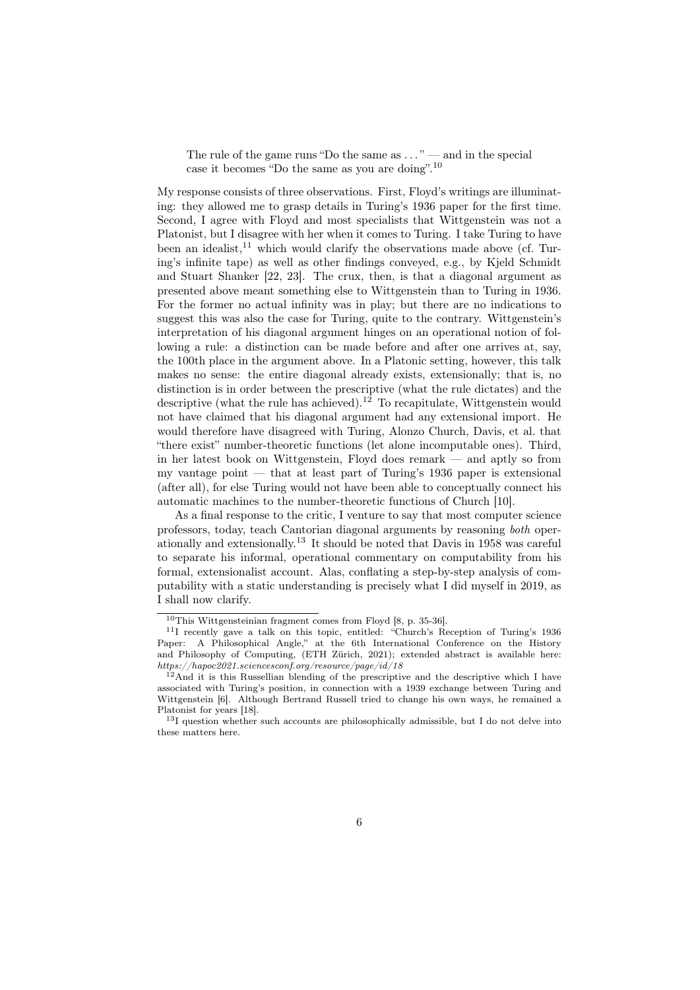The rule of the game runs "Do the same as  $\dots$ " — and in the special case it becomes "Do the same as you are doing".<sup>10</sup>

My response consists of three observations. First, Floyd's writings are illuminating: they allowed me to grasp details in Turing's 1936 paper for the first time. Second, I agree with Floyd and most specialists that Wittgenstein was not a Platonist, but I disagree with her when it comes to Turing. I take Turing to have been an idealist, $^{11}$  which would clarify the observations made above (cf. Turing's infinite tape) as well as other findings conveyed, e.g., by Kjeld Schmidt and Stuart Shanker [22, 23]. The crux, then, is that a diagonal argument as presented above meant something else to Wittgenstein than to Turing in 1936. For the former no actual infinity was in play; but there are no indications to suggest this was also the case for Turing, quite to the contrary. Wittgenstein's interpretation of his diagonal argument hinges on an operational notion of following a rule: a distinction can be made before and after one arrives at, say, the 100th place in the argument above. In a Platonic setting, however, this talk makes no sense: the entire diagonal already exists, extensionally; that is, no distinction is in order between the prescriptive (what the rule dictates) and the descriptive (what the rule has achieved).<sup>12</sup> To recapitulate, Wittgenstein would not have claimed that his diagonal argument had any extensional import. He would therefore have disagreed with Turing, Alonzo Church, Davis, et al. that "there exist" number-theoretic functions (let alone incomputable ones). Third, in her latest book on Wittgenstein, Floyd does remark — and aptly so from my vantage point — that at least part of Turing's 1936 paper is extensional (after all), for else Turing would not have been able to conceptually connect his automatic machines to the number-theoretic functions of Church [10].

As a final response to the critic, I venture to say that most computer science professors, today, teach Cantorian diagonal arguments by reasoning both operationally and extensionally.<sup>13</sup> It should be noted that Davis in 1958 was careful to separate his informal, operational commentary on computability from his formal, extensionalist account. Alas, conflating a step-by-step analysis of computability with a static understanding is precisely what I did myself in 2019, as I shall now clarify.

 $10$ This Wittgensteinian fragment comes from Floyd [8, p. 35-36].

<sup>11</sup>I recently gave a talk on this topic, entitled: "Church's Reception of Turing's 1936 Paper: A Philosophical Angle," at the 6th International Conference on the History and Philosophy of Computing, (ETH Zürich, 2021); extended abstract is available here: https://hapoc2021.sciencesconf.org/resource/page/id/18

 $12$ And it is this Russellian blending of the prescriptive and the descriptive which I have associated with Turing's position, in connection with a 1939 exchange between Turing and Wittgenstein [6]. Although Bertrand Russell tried to change his own ways, he remained a Platonist for years [18].

 $^{13}\mathrm{I}$  question whether such accounts are philosophically admissible, but I do not delve into these matters here.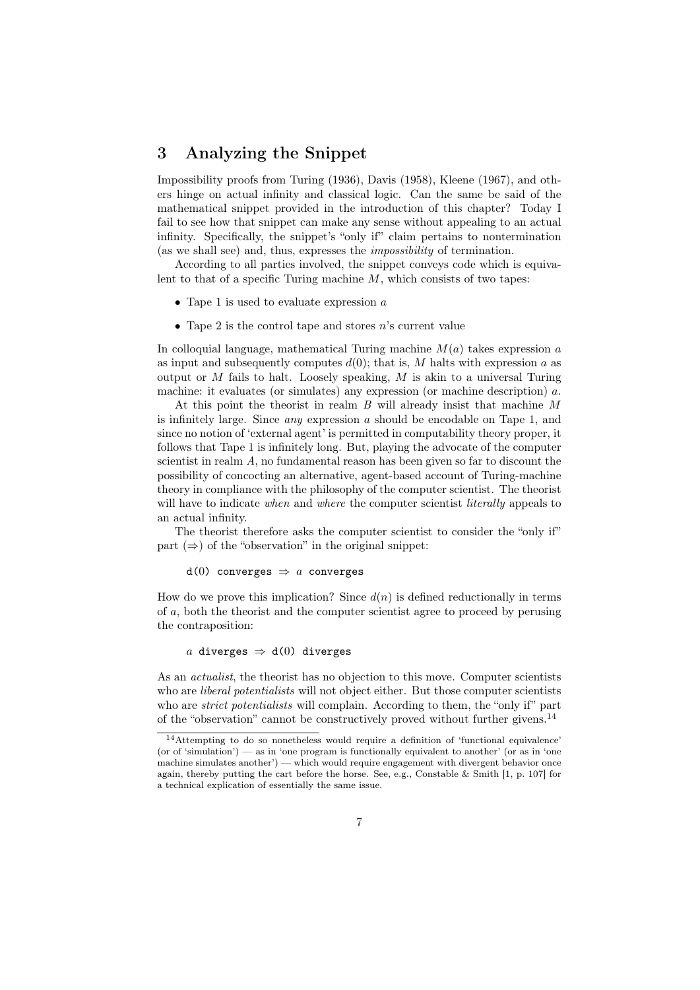## 3 Analyzing the Snippet

Impossibility proofs from Turing (1936), Davis (1958), Kleene (1967), and others hinge on actual infinity and classical logic. Can the same be said of the mathematical snippet provided in the introduction of this chapter? Today I fail to see how that snippet can make any sense without appealing to an actual infinity. Specifically, the snippet's "only if" claim pertains to nontermination (as we shall see) and, thus, expresses the impossibility of termination.

According to all parties involved, the snippet conveys code which is equivalent to that of a specific Turing machine  $M$ , which consists of two tapes:

- Tape 1 is used to evaluate expression  $a$
- Tape 2 is the control tape and stores  $n$ 's current value

In colloquial language, mathematical Turing machine  $M(a)$  takes expression a as input and subsequently computes  $d(0)$ ; that is, M halts with expression a as output or  $M$  fails to halt. Loosely speaking,  $M$  is akin to a universal Turing machine: it evaluates (or simulates) any expression (or machine description) a.

At this point the theorist in realm  $B$  will already insist that machine  $M$ is infinitely large. Since  $any$  expression a should be encodable on Tape 1, and since no notion of 'external agent' is permitted in computability theory proper, it follows that Tape 1 is infinitely long. But, playing the advocate of the computer scientist in realm A, no fundamental reason has been given so far to discount the possibility of concocting an alternative, agent-based account of Turing-machine theory in compliance with the philosophy of the computer scientist. The theorist will have to indicate when and where the computer scientist *literally* appeals to an actual infinity.

The theorist therefore asks the computer scientist to consider the "only if" part  $(\Rightarrow)$  of the "observation" in the original snippet:

d(0) converges  $\Rightarrow$  a converges

How do we prove this implication? Since  $d(n)$  is defined reductionally in terms of a, both the theorist and the computer scientist agree to proceed by perusing the contraposition:

a diverges  $\Rightarrow$  d(0) diverges

As an *actualist*, the theorist has no objection to this move. Computer scientists who are *liberal potentialists* will not object either. But those computer scientists who are *strict potentialists* will complain. According to them, the "only if" part of the "observation" cannot be constructively proved without further givens.<sup>14</sup>

<sup>14</sup>Attempting to do so nonetheless would require a definition of 'functional equivalence' (or of 'simulation') — as in 'one program is functionally equivalent to another' (or as in 'one machine simulates another') — which would require engagement with divergent behavior once again, thereby putting the cart before the horse. See, e.g., Constable & Smith [1, p. 107] for a technical explication of essentially the same issue.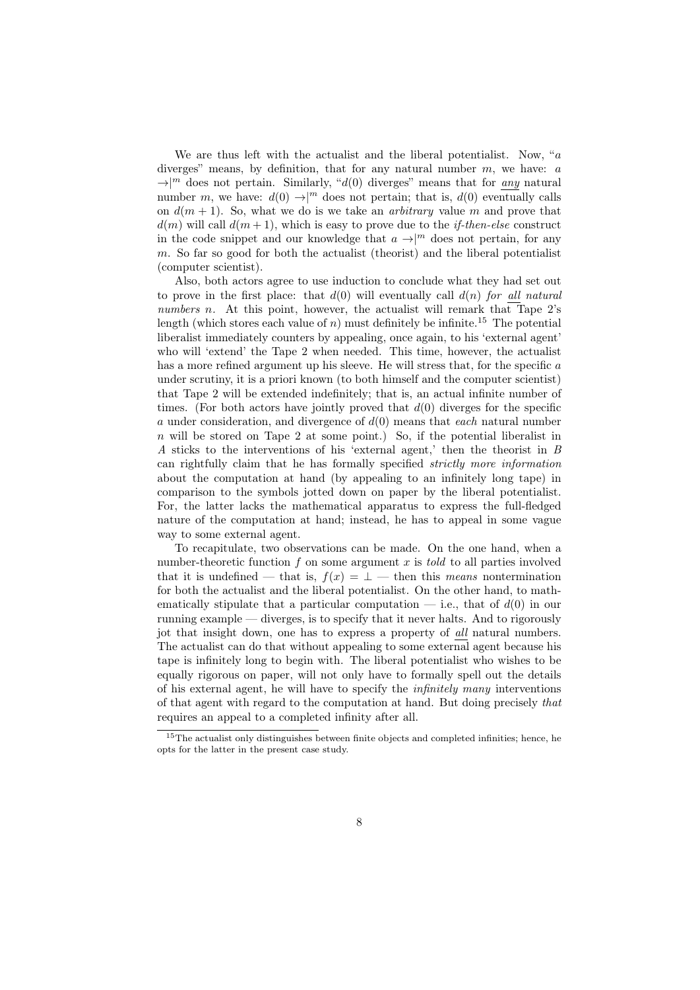We are thus left with the actualist and the liberal potentialist. Now, " $a$ diverges" means, by definition, that for any natural number  $m$ , we have:  $a$  $\rightarrow$ |<sup>m</sup> does not pertain. Similarly, "d(0) diverges" means that for any natural number m, we have:  $d(0) \rightarrow |m|$  does not pertain; that is,  $d(0)$  eventually calls on  $d(m + 1)$ . So, what we do is we take an *arbitrary* value m and prove that  $d(m)$  will call  $d(m + 1)$ , which is easy to prove due to the *if-then-else* construct in the code snippet and our knowledge that  $a \to \infty$  does not pertain, for any m. So far so good for both the actualist (theorist) and the liberal potentialist (computer scientist).

Also, both actors agree to use induction to conclude what they had set out to prove in the first place: that  $d(0)$  will eventually call  $d(n)$  for all natural numbers n. At this point, however, the actualist will remark that Tape  $2$ 's length (which stores each value of n) must definitely be infinite.<sup>15</sup> The potential liberalist immediately counters by appealing, once again, to his 'external agent' who will 'extend' the Tape 2 when needed. This time, however, the actualist has a more refined argument up his sleeve. He will stress that, for the specific a under scrutiny, it is a priori known (to both himself and the computer scientist) that Tape 2 will be extended indefinitely; that is, an actual infinite number of times. (For both actors have jointly proved that  $d(0)$  diverges for the specific a under consideration, and divergence of  $d(0)$  means that each natural number n will be stored on Tape 2 at some point.) So, if the potential liberalist in A sticks to the interventions of his 'external agent,' then the theorist in B can rightfully claim that he has formally specified strictly more information about the computation at hand (by appealing to an infinitely long tape) in comparison to the symbols jotted down on paper by the liberal potentialist. For, the latter lacks the mathematical apparatus to express the full-fledged nature of the computation at hand; instead, he has to appeal in some vague way to some external agent.

To recapitulate, two observations can be made. On the one hand, when a number-theoretic function  $f$  on some argument  $x$  is told to all parties involved that it is undefined — that is,  $f(x) = \perp$  — then this means nontermination for both the actualist and the liberal potentialist. On the other hand, to mathematically stipulate that a particular computation  $-$  i.e., that of  $d(0)$  in our running example — diverges, is to specify that it never halts. And to rigorously jot that insight down, one has to express a property of all natural numbers. The actualist can do that without appealing to some external agent because his tape is infinitely long to begin with. The liberal potentialist who wishes to be equally rigorous on paper, will not only have to formally spell out the details of his external agent, he will have to specify the infinitely many interventions of that agent with regard to the computation at hand. But doing precisely that requires an appeal to a completed infinity after all.

<sup>&</sup>lt;sup>15</sup>The actualist only distinguishes between finite objects and completed infinities; hence, he opts for the latter in the present case study.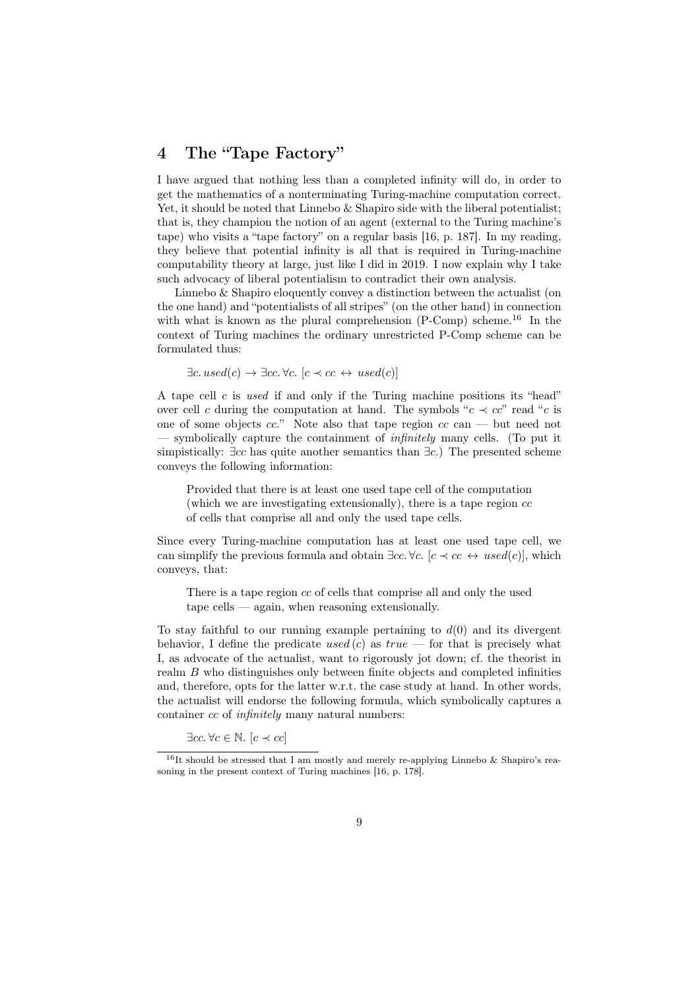## 4 The "Tape Factory"

I have argued that nothing less than a completed infinity will do, in order to get the mathematics of a nonterminating Turing-machine computation correct. Yet, it should be noted that Linnebo & Shapiro side with the liberal potentialist; that is, they champion the notion of an agent (external to the Turing machine's tape) who visits a "tape factory" on a regular basis [16, p. 187]. In my reading, they believe that potential infinity is all that is required in Turing-machine computability theory at large, just like I did in 2019. I now explain why I take such advocacy of liberal potentialism to contradict their own analysis.

Linnebo & Shapiro eloquently convey a distinction between the actualist (on the one hand) and "potentialists of all stripes" (on the other hand) in connection with what is known as the plural comprehension  $(P\text{-Comp})$  scheme.<sup>16</sup> In the context of Turing machines the ordinary unrestricted P-Comp scheme can be formulated thus:

 $\exists c.\, used(c) \rightarrow \exists cc. \forall c.\, [c \prec cc \leftrightarrow used(c)]$ 

A tape cell  $c$  is used if and only if the Turing machine positions its "head" over cell c during the computation at hand. The symbols " $c \prec cc$ " read "c is one of some objects  $cc$ ." Note also that tape region  $cc$  can — but need not — symbolically capture the containment of *infinitely* many cells. (To put it simpistically:  $\exists cc$  has quite another semantics than  $\exists c$ .) The presented scheme conveys the following information:

Provided that there is at least one used tape cell of the computation (which we are investigating extensionally), there is a tape region  $cc$ of cells that comprise all and only the used tape cells.

Since every Turing-machine computation has at least one used tape cell, we can simplify the previous formula and obtain  $\exists cc. \forall c. \ [c \prec cc \leftrightarrow used(c)],$  which conveys, that:

There is a tape region cc of cells that comprise all and only the used tape cells — again, when reasoning extensionally.

To stay faithful to our running example pertaining to  $d(0)$  and its divergent behavior, I define the predicate used (c) as  $true$  — for that is precisely what I, as advocate of the actualist, want to rigorously jot down; cf. the theorist in realm B who distinguishes only between finite objects and completed infinities and, therefore, opts for the latter w.r.t. the case study at hand. In other words, the actualist will endorse the following formula, which symbolically captures a container cc of infinitely many natural numbers:

 $\exists cc. \forall c \in \mathbb{N}. \ [c \prec cc]$ 

 $^{16}{\rm It}$  should be stressed that I am mostly and merely re-applying Linnebo & Shapiro's reasoning in the present context of Turing machines [16, p. 178].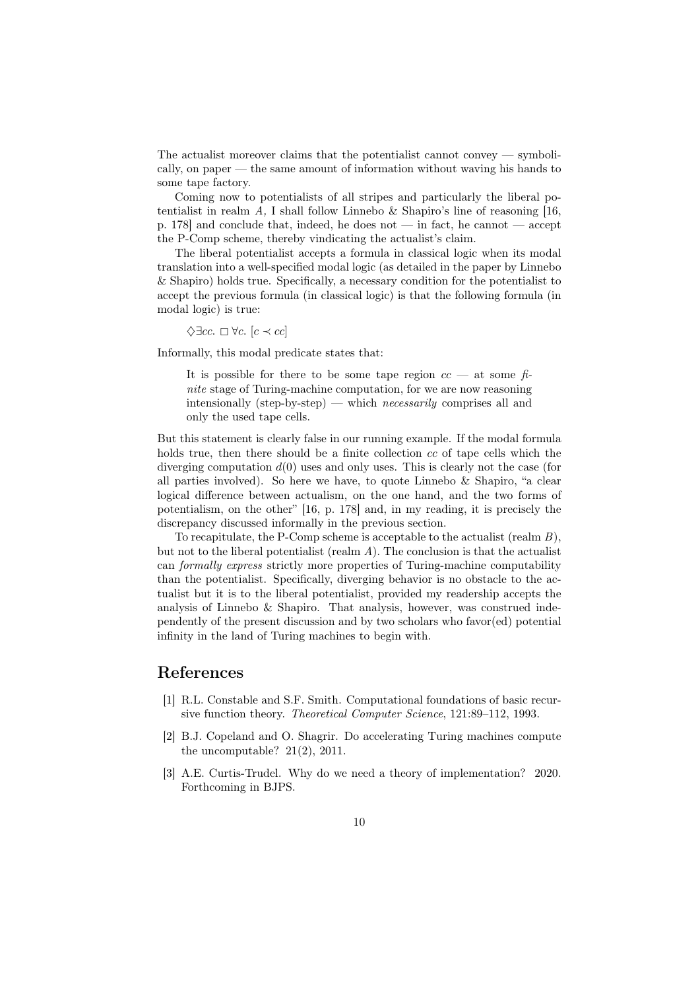The actualist moreover claims that the potentialist cannot convey — symbolically, on paper — the same amount of information without waving his hands to some tape factory.

Coming now to potentialists of all stripes and particularly the liberal potentialist in realm A, I shall follow Linnebo  $\&$  Shapiro's line of reasoning [16, p. 178] and conclude that, indeed, he does not — in fact, he cannot — accept the P-Comp scheme, thereby vindicating the actualist's claim.

The liberal potentialist accepts a formula in classical logic when its modal translation into a well-specified modal logic (as detailed in the paper by Linnebo & Shapiro) holds true. Specifically, a necessary condition for the potentialist to accept the previous formula (in classical logic) is that the following formula (in modal logic) is true:

 $\Diamond \exists cc. \Box \forall c. [c \prec cc]$ 

Informally, this modal predicate states that:

It is possible for there to be some tape region  $cc$  — at some finite stage of Turing-machine computation, for we are now reasoning intensionally (step-by-step) — which *necessarily* comprises all and only the used tape cells.

But this statement is clearly false in our running example. If the modal formula holds true, then there should be a finite collection cc of tape cells which the diverging computation  $d(0)$  uses and only uses. This is clearly not the case (for all parties involved). So here we have, to quote Linnebo & Shapiro, "a clear logical difference between actualism, on the one hand, and the two forms of potentialism, on the other" [16, p. 178] and, in my reading, it is precisely the discrepancy discussed informally in the previous section.

To recapitulate, the P-Comp scheme is acceptable to the actualist (realm  $B$ ), but not to the liberal potentialist (realm  $A$ ). The conclusion is that the actualist can formally express strictly more properties of Turing-machine computability than the potentialist. Specifically, diverging behavior is no obstacle to the actualist but it is to the liberal potentialist, provided my readership accepts the analysis of Linnebo & Shapiro. That analysis, however, was construed independently of the present discussion and by two scholars who favor(ed) potential infinity in the land of Turing machines to begin with.

#### References

- [1] R.L. Constable and S.F. Smith. Computational foundations of basic recursive function theory. Theoretical Computer Science, 121:89–112, 1993.
- [2] B.J. Copeland and O. Shagrir. Do accelerating Turing machines compute the uncomputable? 21(2), 2011.
- [3] A.E. Curtis-Trudel. Why do we need a theory of implementation? 2020. Forthcoming in BJPS.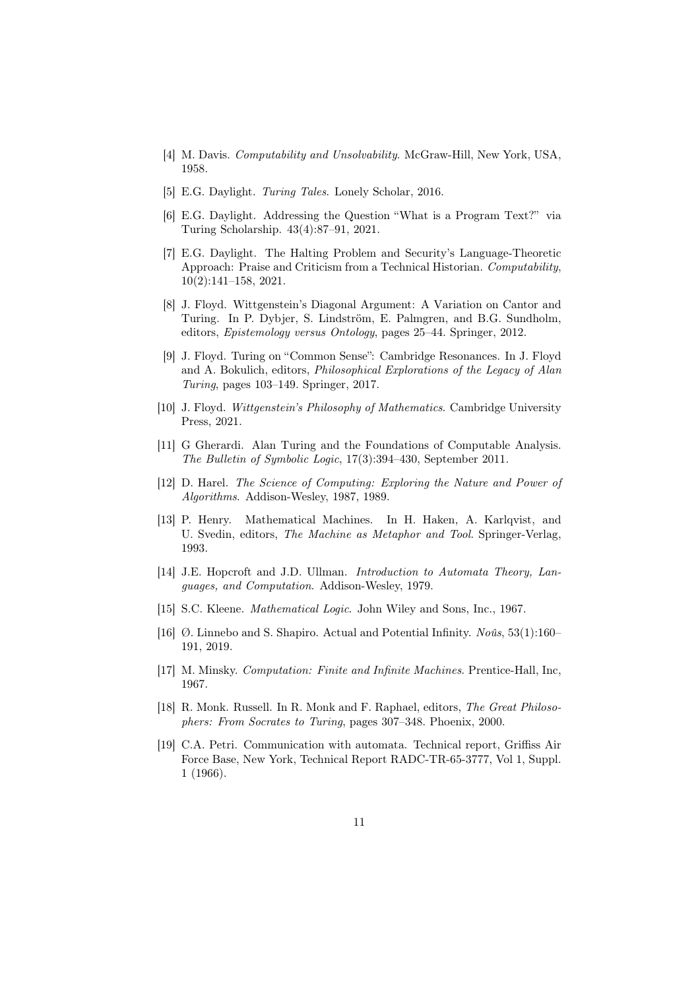- [4] M. Davis. *Computability and Unsolvability*. McGraw-Hill, New York, USA, 1958.
- [5] E.G. Daylight. Turing Tales. Lonely Scholar, 2016.
- [6] E.G. Daylight. Addressing the Question "What is a Program Text?" via Turing Scholarship. 43(4):87–91, 2021.
- [7] E.G. Daylight. The Halting Problem and Security's Language-Theoretic Approach: Praise and Criticism from a Technical Historian. Computability, 10(2):141–158, 2021.
- [8] J. Floyd. Wittgenstein's Diagonal Argument: A Variation on Cantor and Turing. In P. Dybjer, S. Lindström, E. Palmgren, and B.G. Sundholm, editors, Epistemology versus Ontology, pages 25–44. Springer, 2012.
- [9] J. Floyd. Turing on "Common Sense": Cambridge Resonances. In J. Floyd and A. Bokulich, editors, *Philosophical Explorations of the Legacy of Alan* Turing, pages 103–149. Springer, 2017.
- [10] J. Floyd. Wittgenstein's Philosophy of Mathematics. Cambridge University Press, 2021.
- [11] G Gherardi. Alan Turing and the Foundations of Computable Analysis. The Bulletin of Symbolic Logic, 17(3):394–430, September 2011.
- [12] D. Harel. The Science of Computing: Exploring the Nature and Power of Algorithms. Addison-Wesley, 1987, 1989.
- [13] P. Henry. Mathematical Machines. In H. Haken, A. Karlqvist, and U. Svedin, editors, The Machine as Metaphor and Tool. Springer-Verlag, 1993.
- [14] J.E. Hopcroft and J.D. Ullman. Introduction to Automata Theory, Languages, and Computation. Addison-Wesley, 1979.
- [15] S.C. Kleene. *Mathematical Logic*. John Wiley and Sons, Inc., 1967.
- [16] Ø. Linnebo and S. Shapiro. Actual and Potential Infinity. Noûs, 53(1):160– 191, 2019.
- [17] M. Minsky. Computation: Finite and Infinite Machines. Prentice-Hall, Inc, 1967.
- [18] R. Monk. Russell. In R. Monk and F. Raphael, editors, The Great Philosophers: From Socrates to Turing, pages 307–348. Phoenix, 2000.
- [19] C.A. Petri. Communication with automata. Technical report, Griffiss Air Force Base, New York, Technical Report RADC-TR-65-3777, Vol 1, Suppl. 1 (1966).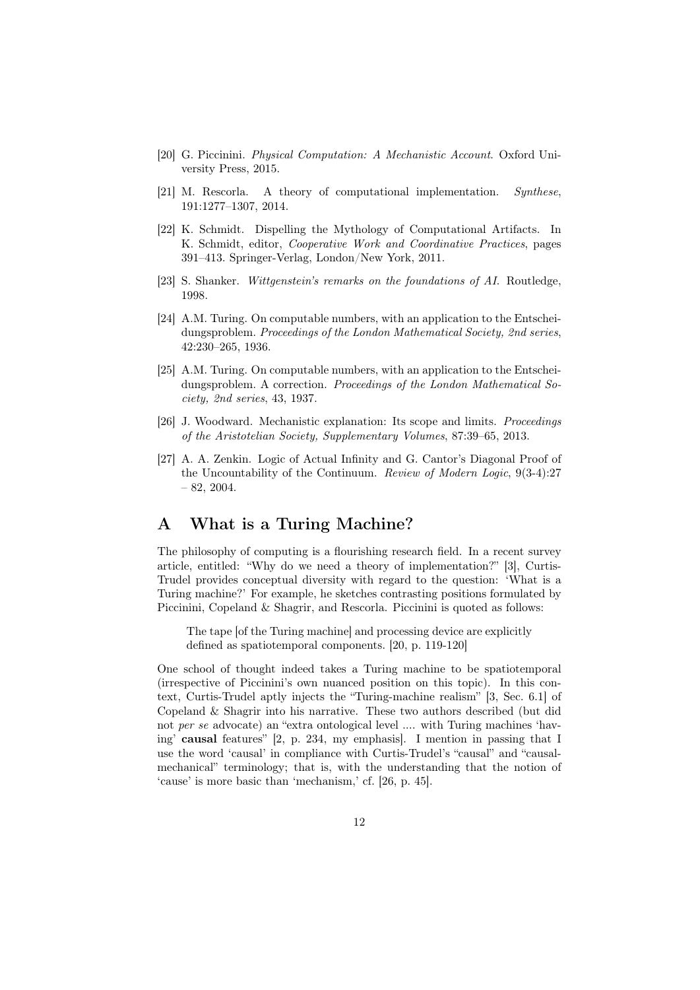- [20] G. Piccinini. Physical Computation: A Mechanistic Account. Oxford University Press, 2015.
- [21] M. Rescorla. A theory of computational implementation. Synthese, 191:1277–1307, 2014.
- [22] K. Schmidt. Dispelling the Mythology of Computational Artifacts. In K. Schmidt, editor, Cooperative Work and Coordinative Practices, pages 391–413. Springer-Verlag, London/New York, 2011.
- [23] S. Shanker. Wittgenstein's remarks on the foundations of AI. Routledge, 1998.
- [24] A.M. Turing. On computable numbers, with an application to the Entscheidungsproblem. Proceedings of the London Mathematical Society, 2nd series 42:230–265, 1936.
- [25] A.M. Turing. On computable numbers, with an application to the Entscheidungsproblem. A correction. Proceedings of the London Mathematical Society, 2nd series, 43, 1937.
- [26] J. Woodward. Mechanistic explanation: Its scope and limits. Proceedings of the Aristotelian Society, Supplementary Volumes, 87:39–65, 2013.
- [27] A. A. Zenkin. Logic of Actual Infinity and G. Cantor's Diagonal Proof of the Uncountability of the Continuum. Review of Modern Logic, 9(3-4):27  $-82, 2004.$

# A What is a Turing Machine?

The philosophy of computing is a flourishing research field. In a recent survey article, entitled: "Why do we need a theory of implementation?" [3], Curtis-Trudel provides conceptual diversity with regard to the question: 'What is a Turing machine?' For example, he sketches contrasting positions formulated by Piccinini, Copeland & Shagrir, and Rescorla. Piccinini is quoted as follows:

The tape [of the Turing machine] and processing device are explicitly defined as spatiotemporal components. [20, p. 119-120]

One school of thought indeed takes a Turing machine to be spatiotemporal (irrespective of Piccinini's own nuanced position on this topic). In this context, Curtis-Trudel aptly injects the "Turing-machine realism" [3, Sec. 6.1] of Copeland & Shagrir into his narrative. These two authors described (but did not per se advocate) an "extra ontological level .... with Turing machines 'having' causal features" [2, p. 234, my emphasis]. I mention in passing that I use the word 'causal' in compliance with Curtis-Trudel's "causal" and "causalmechanical" terminology; that is, with the understanding that the notion of 'cause' is more basic than 'mechanism,' cf. [26, p. 45].